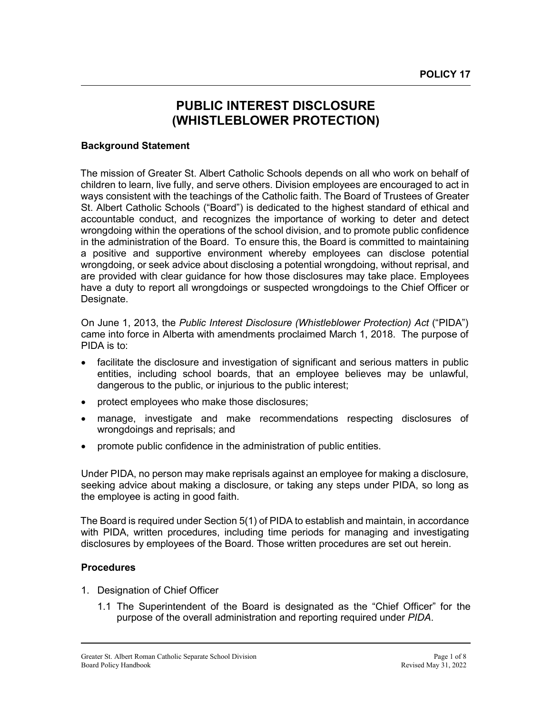# **PUBLIC INTEREST DISCLOSURE (WHISTLEBLOWER PROTECTION)**

### **Background Statement**

The mission of Greater St. Albert Catholic Schools depends on all who work on behalf of children to learn, live fully, and serve others. Division employees are encouraged to act in ways consistent with the teachings of the Catholic faith. The Board of Trustees of Greater St. Albert Catholic Schools ("Board") is dedicated to the highest standard of ethical and accountable conduct, and recognizes the importance of working to deter and detect wrongdoing within the operations of the school division, and to promote public confidence in the administration of the Board. To ensure this, the Board is committed to maintaining a positive and supportive environment whereby employees can disclose potential wrongdoing, or seek advice about disclosing a potential wrongdoing, without reprisal, and are provided with clear guidance for how those disclosures may take place. Employees have a duty to report all wrongdoings or suspected wrongdoings to the Chief Officer or Designate.

On June 1, 2013, the *Public Interest Disclosure (Whistleblower Protection) Act* ("PIDA") came into force in Alberta with amendments proclaimed March 1, 2018. The purpose of PIDA is to:

- facilitate the disclosure and investigation of significant and serious matters in public entities, including school boards, that an employee believes may be unlawful, dangerous to the public, or injurious to the public interest;
- protect employees who make those disclosures;
- manage, investigate and make recommendations respecting disclosures of wrongdoings and reprisals; and
- promote public confidence in the administration of public entities.

Under PIDA, no person may make reprisals against an employee for making a disclosure, seeking advice about making a disclosure, or taking any steps under PIDA, so long as the employee is acting in good faith.

The Board is required under Section 5(1) of PIDA to establish and maintain, in accordance with PIDA, written procedures, including time periods for managing and investigating disclosures by employees of the Board. Those written procedures are set out herein.

#### **Procedures**

- 1. Designation of Chief Officer
	- 1.1 The Superintendent of the Board is designated as the "Chief Officer" for the purpose of the overall administration and reporting required under *PIDA*.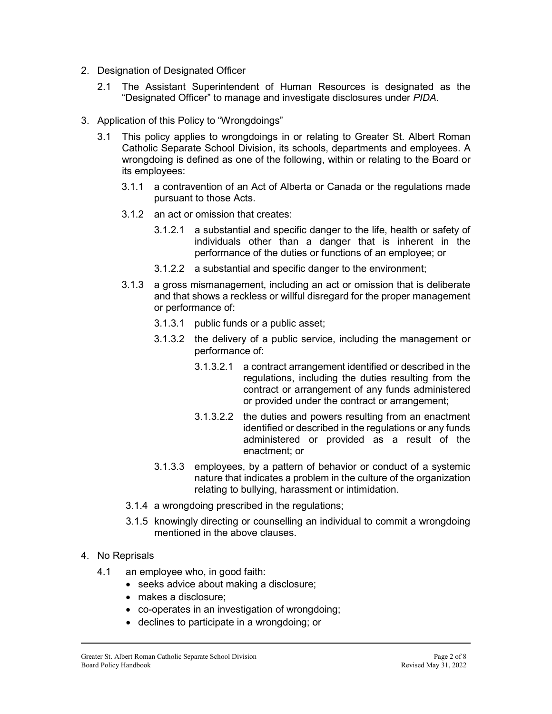- 2. Designation of Designated Officer
	- 2.1 The Assistant Superintendent of Human Resources is designated as the "Designated Officer" to manage and investigate disclosures under *PIDA*.
- 3. Application of this Policy to "Wrongdoings"
	- 3.1 This policy applies to wrongdoings in or relating to Greater St. Albert Roman Catholic Separate School Division, its schools, departments and employees. A wrongdoing is defined as one of the following, within or relating to the Board or its employees:
		- 3.1.1 a contravention of an Act of Alberta or Canada or the regulations made pursuant to those Acts.
		- 3.1.2 an act or omission that creates:
			- 3.1.2.1 a substantial and specific danger to the life, health or safety of individuals other than a danger that is inherent in the performance of the duties or functions of an employee; or
			- 3.1.2.2 a substantial and specific danger to the environment;
		- 3.1.3 a gross mismanagement, including an act or omission that is deliberate and that shows a reckless or willful disregard for the proper management or performance of:
			- 3.1.3.1 public funds or a public asset;
			- 3.1.3.2 the delivery of a public service, including the management or performance of:
				- 3.1.3.2.1 a contract arrangement identified or described in the regulations, including the duties resulting from the contract or arrangement of any funds administered or provided under the contract or arrangement;
				- 3.1.3.2.2 the duties and powers resulting from an enactment identified or described in the regulations or any funds administered or provided as a result of the enactment; or
			- 3.1.3.3 employees, by a pattern of behavior or conduct of a systemic nature that indicates a problem in the culture of the organization relating to bullying, harassment or intimidation.
		- 3.1.4 a wrongdoing prescribed in the regulations;
		- 3.1.5 knowingly directing or counselling an individual to commit a wrongdoing mentioned in the above clauses.
- 4. No Reprisals
	- 4.1 an employee who, in good faith:
		- seeks advice about making a disclosure;
		- makes a disclosure;
		- co-operates in an investigation of wrongdoing;
		- declines to participate in a wrongdoing; or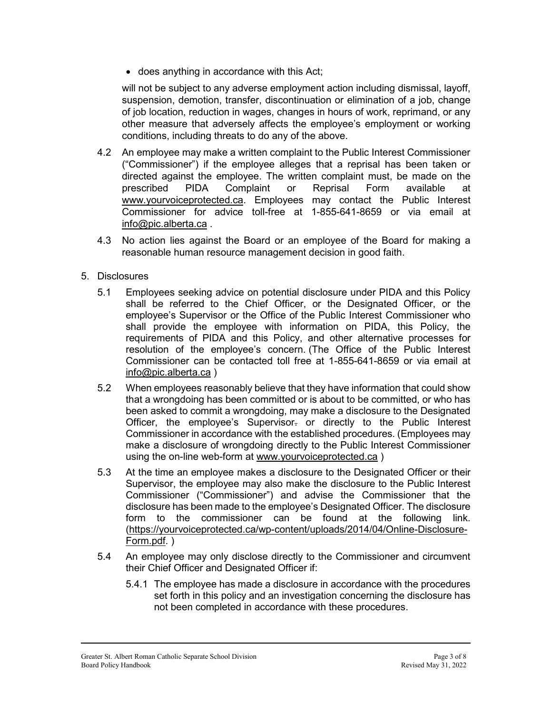• does anything in accordance with this Act;

will not be subject to any adverse employment action including dismissal, layoff, suspension, demotion, transfer, discontinuation or elimination of a job, change of job location, reduction in wages, changes in hours of work, reprimand, or any other measure that adversely affects the employee's employment or working conditions, including threats to do any of the above.

- 4.2 An employee may make a written complaint to the Public Interest Commissioner ("Commissioner") if the employee alleges that a reprisal has been taken or directed against the employee. The written complaint must, be made on the prescribed PIDA Complaint or Reprisal Form available at [www.yourvoiceprotected.ca.](http://www.yourvoiceprotected.ca/) Employees may contact the Public Interest Commissioner for advice toll-free at 1-855-641-8659 or via email at [info@pic.alberta.ca](mailto:info@pic.alberta.ca) .
- 4.3 No action lies against the Board or an employee of the Board for making a reasonable human resource management decision in good faith.
- 5. Disclosures
	- 5.1 Employees seeking advice on potential disclosure under PIDA and this Policy shall be referred to the Chief Officer, or the Designated Officer, or the employee's Supervisor or the Office of the Public Interest Commissioner who shall provide the employee with information on PIDA, this Policy, the requirements of PIDA and this Policy, and other alternative processes for resolution of the employee's concern. (The Office of the Public Interest Commissioner can be contacted toll free at 1-855-641-8659 or via email at [info@pic.alberta.ca](mailto:info@pic.alberta.ca) )
	- 5.2 When employees reasonably believe that they have information that could show that a wrongdoing has been committed or is about to be committed, or who has been asked to commit a wrongdoing, may make a disclosure to the Designated Officer, the employee's Supervisor. or directly to the Public Interest Commissioner in accordance with the established procedures. (Employees may make a disclosure of wrongdoing directly to the Public Interest Commissioner using the on-line web-form at [www.yourvoiceprotected.ca](http://www.yourvoiceprotected.ca/) )
	- 5.3 At the time an employee makes a disclosure to the Designated Officer or their Supervisor, the employee may also make the disclosure to the Public Interest Commissioner ("Commissioner") and advise the Commissioner that the disclosure has been made to the employee's Designated Officer. The disclosure form to the commissioner can be found at the following link. [\(https://yourvoiceprotected.ca/wp-content/uploads/2014/04/Online-Disclosure-](https://yourvoiceprotected.ca/wp-content/uploads/2014/04/Online-Disclosure-Form.pdf)[Form.pdf.](https://yourvoiceprotected.ca/wp-content/uploads/2014/04/Online-Disclosure-Form.pdf) )
	- 5.4 An employee may only disclose directly to the Commissioner and circumvent their Chief Officer and Designated Officer if:
		- 5.4.1 The employee has made a disclosure in accordance with the procedures set forth in this policy and an investigation concerning the disclosure has not been completed in accordance with these procedures.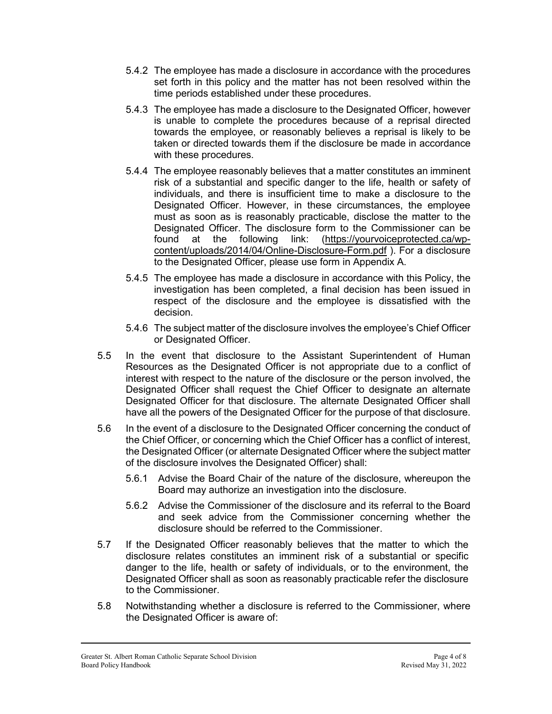- 5.4.2 The employee has made a disclosure in accordance with the procedures set forth in this policy and the matter has not been resolved within the time periods established under these procedures.
- 5.4.3 The employee has made a disclosure to the Designated Officer, however is unable to complete the procedures because of a reprisal directed towards the employee, or reasonably believes a reprisal is likely to be taken or directed towards them if the disclosure be made in accordance with these procedures.
- 5.4.4 The employee reasonably believes that a matter constitutes an imminent risk of a substantial and specific danger to the life, health or safety of individuals, and there is insufficient time to make a disclosure to the Designated Officer. However, in these circumstances, the employee must as soon as is reasonably practicable, disclose the matter to the Designated Officer. The disclosure form to the Commissioner can be found at the following link: [\(https://yourvoiceprotected.ca/wp](https://yourvoiceprotected.ca/wp-content/uploads/2014/04/Online-Disclosure-Form.pdf)[content/uploads/2014/04/Online-Disclosure-Form.pdf](https://yourvoiceprotected.ca/wp-content/uploads/2014/04/Online-Disclosure-Form.pdf) ). For a disclosure to the Designated Officer, please use form in Appendix A.
- 5.4.5 The employee has made a disclosure in accordance with this Policy, the investigation has been completed, a final decision has been issued in respect of the disclosure and the employee is dissatisfied with the decision.
- 5.4.6 The subject matter of the disclosure involves the employee's Chief Officer or Designated Officer.
- 5.5 In the event that disclosure to the Assistant Superintendent of Human Resources as the Designated Officer is not appropriate due to a conflict of interest with respect to the nature of the disclosure or the person involved, the Designated Officer shall request the Chief Officer to designate an alternate Designated Officer for that disclosure. The alternate Designated Officer shall have all the powers of the Designated Officer for the purpose of that disclosure.
- 5.6 In the event of a disclosure to the Designated Officer concerning the conduct of the Chief Officer, or concerning which the Chief Officer has a conflict of interest, the Designated Officer (or alternate Designated Officer where the subject matter of the disclosure involves the Designated Officer) shall:
	- 5.6.1 Advise the Board Chair of the nature of the disclosure, whereupon the Board may authorize an investigation into the disclosure.
	- 5.6.2 Advise the Commissioner of the disclosure and its referral to the Board and seek advice from the Commissioner concerning whether the disclosure should be referred to the Commissioner.
- 5.7 If the Designated Officer reasonably believes that the matter to which the disclosure relates constitutes an imminent risk of a substantial or specific danger to the life, health or safety of individuals, or to the environment, the Designated Officer shall as soon as reasonably practicable refer the disclosure to the Commissioner.
- 5.8 Notwithstanding whether a disclosure is referred to the Commissioner, where the Designated Officer is aware of: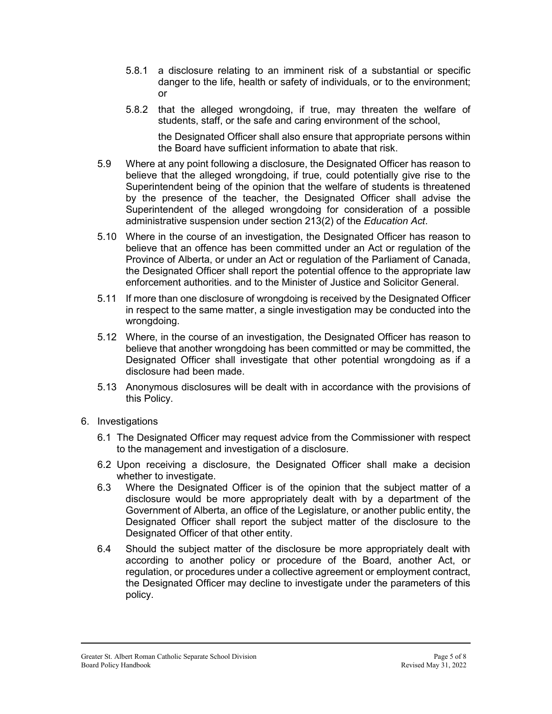- 5.8.1 a disclosure relating to an imminent risk of a substantial or specific danger to the life, health or safety of individuals, or to the environment; or
- 5.8.2 that the alleged wrongdoing, if true, may threaten the welfare of students, staff, or the safe and caring environment of the school,

the Designated Officer shall also ensure that appropriate persons within the Board have sufficient information to abate that risk.

- 5.9 Where at any point following a disclosure, the Designated Officer has reason to believe that the alleged wrongdoing, if true, could potentially give rise to the Superintendent being of the opinion that the welfare of students is threatened by the presence of the teacher, the Designated Officer shall advise the Superintendent of the alleged wrongdoing for consideration of a possible administrative suspension under section 213(2) of the *Education Act*.
- 5.10 Where in the course of an investigation, the Designated Officer has reason to believe that an offence has been committed under an Act or regulation of the Province of Alberta, or under an Act or regulation of the Parliament of Canada, the Designated Officer shall report the potential offence to the appropriate law enforcement authorities. and to the Minister of Justice and Solicitor General.
- 5.11 If more than one disclosure of wrongdoing is received by the Designated Officer in respect to the same matter, a single investigation may be conducted into the wrongdoing.
- 5.12 Where, in the course of an investigation, the Designated Officer has reason to believe that another wrongdoing has been committed or may be committed, the Designated Officer shall investigate that other potential wrongdoing as if a disclosure had been made.
- 5.13 Anonymous disclosures will be dealt with in accordance with the provisions of this Policy.
- 6. Investigations
	- 6.1 The Designated Officer may request advice from the Commissioner with respect to the management and investigation of a disclosure.
	- 6.2 Upon receiving a disclosure, the Designated Officer shall make a decision whether to investigate.
	- 6.3 Where the Designated Officer is of the opinion that the subject matter of a disclosure would be more appropriately dealt with by a department of the Government of Alberta, an office of the Legislature, or another public entity, the Designated Officer shall report the subject matter of the disclosure to the Designated Officer of that other entity.
	- 6.4 Should the subject matter of the disclosure be more appropriately dealt with according to another policy or procedure of the Board, another Act, or regulation, or procedures under a collective agreement or employment contract, the Designated Officer may decline to investigate under the parameters of this policy.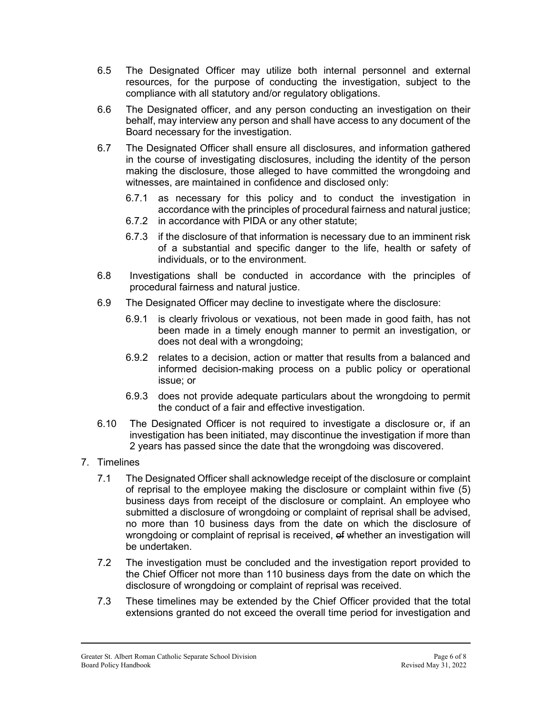- 6.5 The Designated Officer may utilize both internal personnel and external resources, for the purpose of conducting the investigation, subject to the compliance with all statutory and/or regulatory obligations.
- 6.6 The Designated officer, and any person conducting an investigation on their behalf, may interview any person and shall have access to any document of the Board necessary for the investigation.
- 6.7 The Designated Officer shall ensure all disclosures, and information gathered in the course of investigating disclosures, including the identity of the person making the disclosure, those alleged to have committed the wrongdoing and witnesses, are maintained in confidence and disclosed only:
	- 6.7.1 as necessary for this policy and to conduct the investigation in accordance with the principles of procedural fairness and natural justice;
	- 6.7.2 in accordance with PIDA or any other statute;
	- 6.7.3 if the disclosure of that information is necessary due to an imminent risk of a substantial and specific danger to the life, health or safety of individuals, or to the environment.
- 6.8 Investigations shall be conducted in accordance with the principles of procedural fairness and natural justice.
- 6.9 The Designated Officer may decline to investigate where the disclosure:
	- 6.9.1 is clearly frivolous or vexatious, not been made in good faith, has not been made in a timely enough manner to permit an investigation, or does not deal with a wrongdoing;
	- 6.9.2 relates to a decision, action or matter that results from a balanced and informed decision-making process on a public policy or operational issue; or
	- 6.9.3 does not provide adequate particulars about the wrongdoing to permit the conduct of a fair and effective investigation.
- 6.10 The Designated Officer is not required to investigate a disclosure or, if an investigation has been initiated, may discontinue the investigation if more than 2 years has passed since the date that the wrongdoing was discovered.
- 7. Timelines
	- 7.1 The Designated Officer shall acknowledge receipt of the disclosure or complaint of reprisal to the employee making the disclosure or complaint within five (5) business days from receipt of the disclosure or complaint. An employee who submitted a disclosure of wrongdoing or complaint of reprisal shall be advised, no more than 10 business days from the date on which the disclosure of wrongdoing or complaint of reprisal is received, of whether an investigation will be undertaken.
	- 7.2 The investigation must be concluded and the investigation report provided to the Chief Officer not more than 110 business days from the date on which the disclosure of wrongdoing or complaint of reprisal was received.
	- 7.3 These timelines may be extended by the Chief Officer provided that the total extensions granted do not exceed the overall time period for investigation and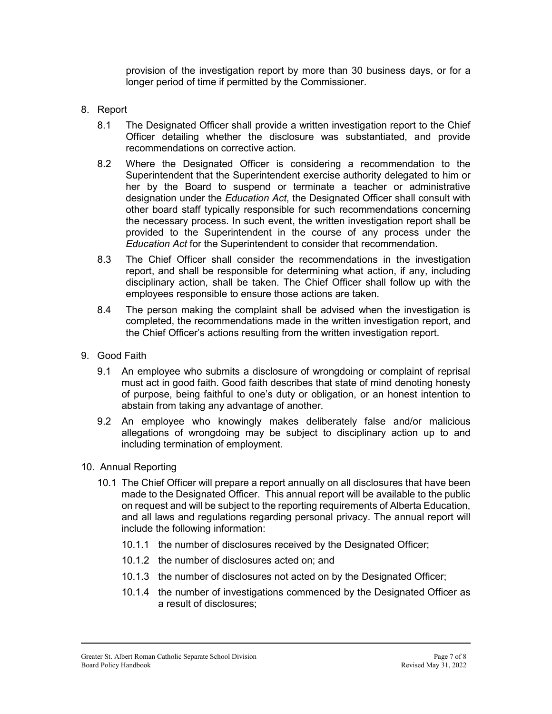provision of the investigation report by more than 30 business days, or for a longer period of time if permitted by the Commissioner.

### 8. Report

- 8.1 The Designated Officer shall provide a written investigation report to the Chief Officer detailing whether the disclosure was substantiated, and provide recommendations on corrective action.
- 8.2 Where the Designated Officer is considering a recommendation to the Superintendent that the Superintendent exercise authority delegated to him or her by the Board to suspend or terminate a teacher or administrative designation under the *Education Act*, the Designated Officer shall consult with other board staff typically responsible for such recommendations concerning the necessary process. In such event, the written investigation report shall be provided to the Superintendent in the course of any process under the *Education Act* for the Superintendent to consider that recommendation.
- 8.3 The Chief Officer shall consider the recommendations in the investigation report, and shall be responsible for determining what action, if any, including disciplinary action, shall be taken. The Chief Officer shall follow up with the employees responsible to ensure those actions are taken.
- 8.4 The person making the complaint shall be advised when the investigation is completed, the recommendations made in the written investigation report, and the Chief Officer's actions resulting from the written investigation report.
- 9. Good Faith
	- 9.1 An employee who submits a disclosure of wrongdoing or complaint of reprisal must act in good faith. Good faith describes that state of mind denoting honesty of purpose, being faithful to one's duty or obligation, or an honest intention to abstain from taking any advantage of another.
	- 9.2 An employee who knowingly makes deliberately false and/or malicious allegations of wrongdoing may be subject to disciplinary action up to and including termination of employment.
- 10. Annual Reporting
	- 10.1 The Chief Officer will prepare a report annually on all disclosures that have been made to the Designated Officer. This annual report will be available to the public on request and will be subject to the reporting requirements of Alberta Education, and all laws and regulations regarding personal privacy. The annual report will include the following information:
		- 10.1.1 the number of disclosures received by the Designated Officer;
		- 10.1.2 the number of disclosures acted on; and
		- 10.1.3 the number of disclosures not acted on by the Designated Officer;
		- 10.1.4 the number of investigations commenced by the Designated Officer as a result of disclosures;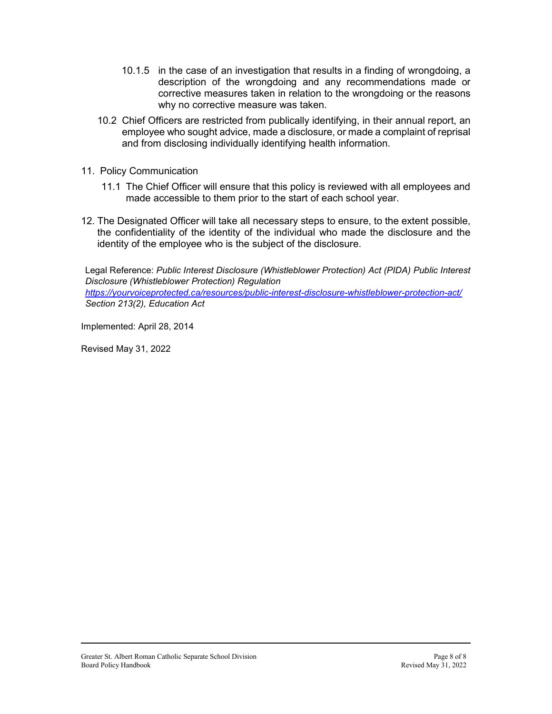- 10.1.5 in the case of an investigation that results in a finding of wrongdoing, a description of the wrongdoing and any recommendations made or corrective measures taken in relation to the wrongdoing or the reasons why no corrective measure was taken.
- 10.2 Chief Officers are restricted from publically identifying, in their annual report, an employee who sought advice, made a disclosure, or made a complaint of reprisal and from disclosing individually identifying health information.
- 11. Policy Communication
	- 11.1 The Chief Officer will ensure that this policy is reviewed with all employees and made accessible to them prior to the start of each school year.
- 12. The Designated Officer will take all necessary steps to ensure, to the extent possible, the confidentiality of the identity of the individual who made the disclosure and the identity of the employee who is the subject of the disclosure.

Legal Reference: *Public Interest Disclosure (Whistleblower Protection) Act (PIDA) Public Interest Disclosure (Whistleblower Protection) Regulation* 

*<https://yourvoiceprotected.ca/resources/public-interest-disclosure-whistleblower-protection-act/> Section 213(2), Education Act*

Implemented: April 28, 2014

Revised May 31, 2022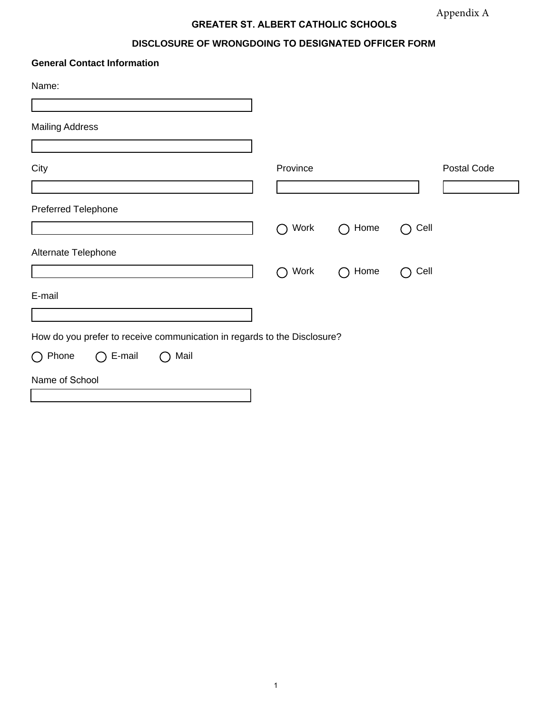# **GREATER ST. ALBERT CATHOLIC SCHOOLS**

## **DISCLOSURE OF WRONGDOING TO DESIGNATED OFFICER FORM**

| <b>General Contact Information</b>                                       |                   |                                                       |                   |             |
|--------------------------------------------------------------------------|-------------------|-------------------------------------------------------|-------------------|-------------|
| Name:                                                                    |                   |                                                       |                   |             |
| <b>Mailing Address</b>                                                   |                   |                                                       |                   |             |
| City                                                                     | Province          |                                                       |                   | Postal Code |
| Preferred Telephone                                                      |                   |                                                       |                   |             |
|                                                                          | Work<br>$\bigcap$ | Home<br>$\left( \begin{array}{c} \end{array} \right)$ | Cell<br>( )       |             |
| Alternate Telephone                                                      |                   |                                                       |                   |             |
|                                                                          | Work<br>$\bigcap$ | Home<br>$\bigcap$                                     | Cell<br>$\bigcap$ |             |
| E-mail                                                                   |                   |                                                       |                   |             |
| How do you prefer to receive communication in regards to the Disclosure? |                   |                                                       |                   |             |
| E-mail<br>$\bigcirc$ Phone<br>Mail<br>$\bigcap$<br>$\bigcap$             |                   |                                                       |                   |             |
| Name of School                                                           |                   |                                                       |                   |             |
|                                                                          |                   |                                                       |                   |             |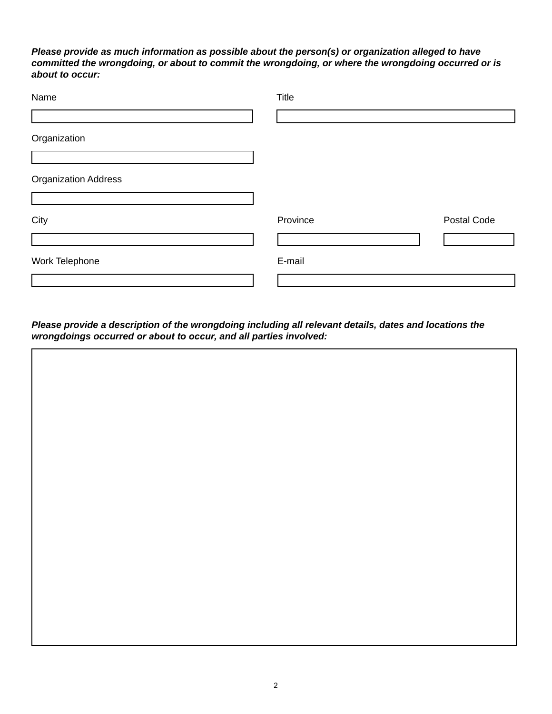### *Please provide as much information as possible about the person(s) or organization alleged to have committed the wrongdoing, or about to commit the wrongdoing, or where the wrongdoing occurred or is about to occur:*

| Name                        | Title    |             |
|-----------------------------|----------|-------------|
|                             |          |             |
| Organization                |          |             |
| <b>Organization Address</b> |          |             |
| City                        | Province | Postal Code |
| Work Telephone              | E-mail   |             |
|                             |          |             |

*Please provide a description of the wrongdoing including all relevant details, dates and locations the wrongdoings occurred or about to occur, and all parties involved:*